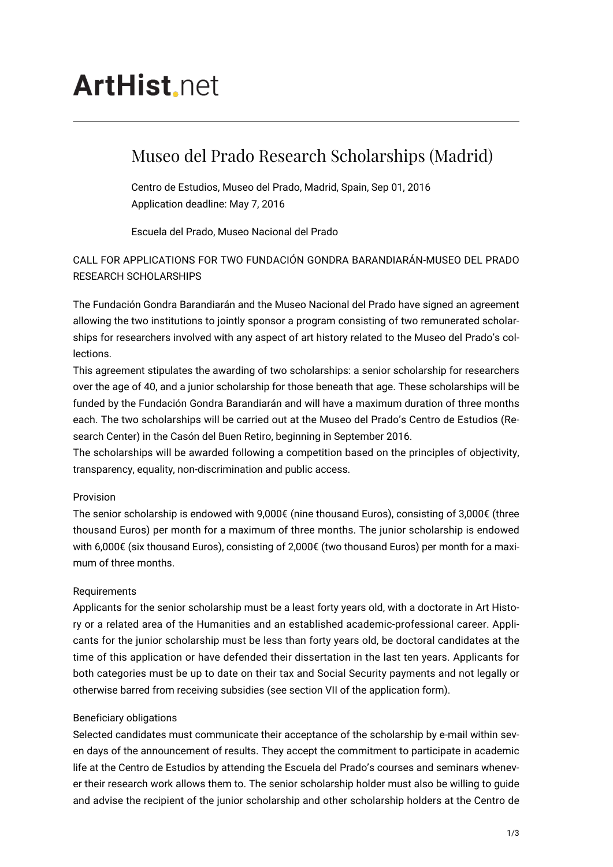# **ArtHist** net

## Museo del Prado Research Scholarships (Madrid)

Centro de Estudios, Museo del Prado, Madrid, Spain, Sep 01, 2016 Application deadline: May 7, 2016

Escuela del Prado, Museo Nacional del Prado

### CALL FOR APPLICATIONS FOR TWO FUNDACIÓN GONDRA BARANDIARÁN-MUSEO DEL PRADO RESEARCH SCHOLARSHIPS

The Fundación Gondra Barandiarán and the Museo Nacional del Prado have signed an agreement allowing the two institutions to jointly sponsor a program consisting of two remunerated scholarships for researchers involved with any aspect of art history related to the Museo del Prado's collections.

This agreement stipulates the awarding of two scholarships: a senior scholarship for researchers over the age of 40, and a junior scholarship for those beneath that age. These scholarships will be funded by the Fundación Gondra Barandiarán and will have a maximum duration of three months each. The two scholarships will be carried out at the Museo del Prado's Centro de Estudios (Research Center) in the Casón del Buen Retiro, beginning in September 2016.

The scholarships will be awarded following a competition based on the principles of objectivity, transparency, equality, non-discrimination and public access.

#### Provision

The senior scholarship is endowed with 9,000€ (nine thousand Euros), consisting of 3,000€ (three thousand Euros) per month for a maximum of three months. The junior scholarship is endowed with 6,000€ (six thousand Euros), consisting of 2,000€ (two thousand Euros) per month for a maximum of three months.

#### Requirements

Applicants for the senior scholarship must be a least forty years old, with a doctorate in Art History or a related area of the Humanities and an established academic-professional career. Applicants for the junior scholarship must be less than forty years old, be doctoral candidates at the time of this application or have defended their dissertation in the last ten years. Applicants for both categories must be up to date on their tax and Social Security payments and not legally or otherwise barred from receiving subsidies (see section VII of the application form).

#### Beneficiary obligations

Selected candidates must communicate their acceptance of the scholarship by e-mail within seven days of the announcement of results. They accept the commitment to participate in academic life at the Centro de Estudios by attending the Escuela del Prado's courses and seminars whenever their research work allows them to. The senior scholarship holder must also be willing to guide and advise the recipient of the junior scholarship and other scholarship holders at the Centro de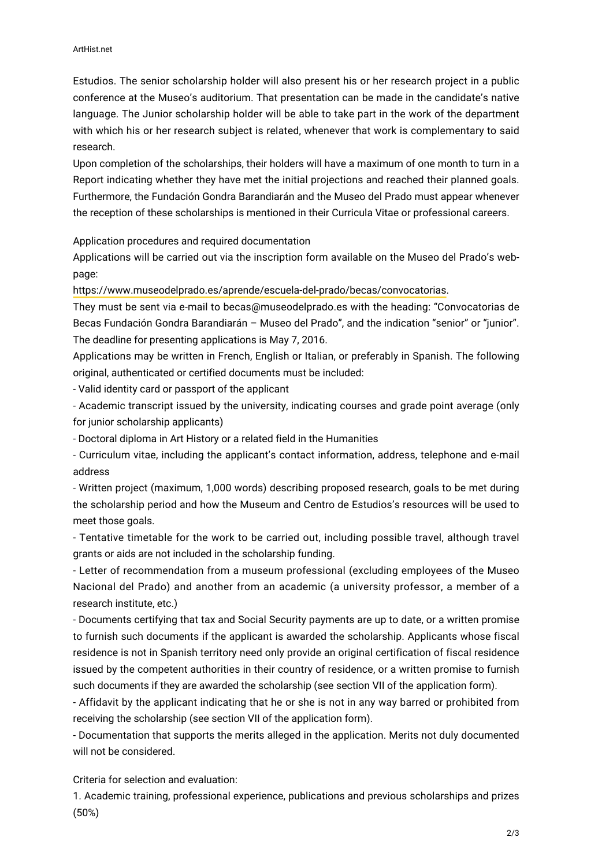Estudios. The senior scholarship holder will also present his or her research project in a public conference at the Museo's auditorium. That presentation can be made in the candidate's native language. The Junior scholarship holder will be able to take part in the work of the department with which his or her research subject is related, whenever that work is complementary to said research.

Upon completion of the scholarships, their holders will have a maximum of one month to turn in a Report indicating whether they have met the initial projections and reached their planned goals. Furthermore, the Fundación Gondra Barandiarán and the Museo del Prado must appear whenever the reception of these scholarships is mentioned in their Curricula Vitae or professional careers.

Application procedures and required documentation

Applications will be carried out via the inscription form available on the Museo del Prado's webpage:

[https://www.museodelprado.es/aprende/escuela-del-prado/becas/convocatorias.](https://www.museodelprado.es/aprende/escuela-del-prado/becas/convocatorias)

They must be sent via e-mail to becas@museodelprado.es with the heading: "Convocatorias de Becas Fundación Gondra Barandiarán – Museo del Prado", and the indication "senior" or "junior". The deadline for presenting applications is May 7, 2016.

Applications may be written in French, English or Italian, or preferably in Spanish. The following original, authenticated or certified documents must be included:

- Valid identity card or passport of the applicant

- Academic transcript issued by the university, indicating courses and grade point average (only for junior scholarship applicants)

- Doctoral diploma in Art History or a related field in the Humanities

- Curriculum vitae, including the applicant's contact information, address, telephone and e-mail address

- Written project (maximum, 1,000 words) describing proposed research, goals to be met during the scholarship period and how the Museum and Centro de Estudios's resources will be used to meet those goals.

- Tentative timetable for the work to be carried out, including possible travel, although travel grants or aids are not included in the scholarship funding.

- Letter of recommendation from a museum professional (excluding employees of the Museo Nacional del Prado) and another from an academic (a university professor, a member of a research institute, etc.)

- Documents certifying that tax and Social Security payments are up to date, or a written promise to furnish such documents if the applicant is awarded the scholarship. Applicants whose fiscal residence is not in Spanish territory need only provide an original certification of fiscal residence issued by the competent authorities in their country of residence, or a written promise to furnish such documents if they are awarded the scholarship (see section VII of the application form).

- Affidavit by the applicant indicating that he or she is not in any way barred or prohibited from receiving the scholarship (see section VII of the application form).

- Documentation that supports the merits alleged in the application. Merits not duly documented will not be considered.

Criteria for selection and evaluation:

1. Academic training, professional experience, publications and previous scholarships and prizes (50%)